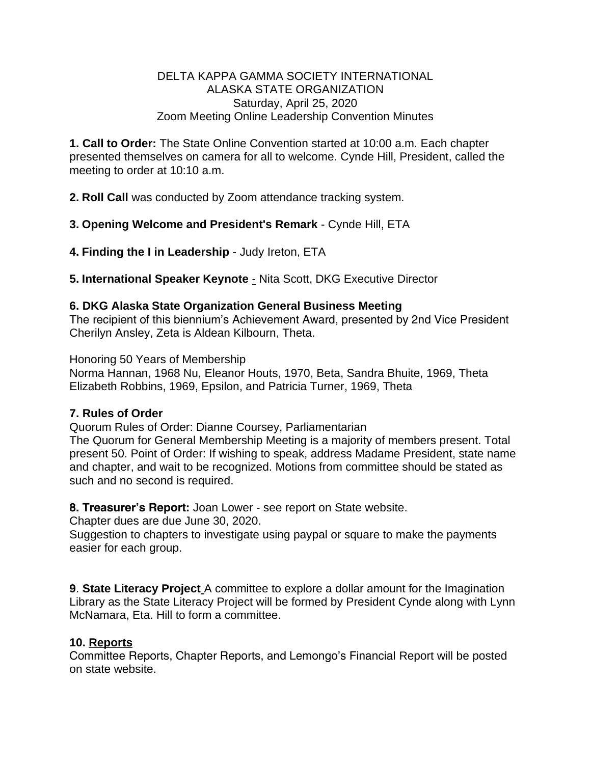#### DELTA KAPPA GAMMA SOCIETY INTERNATIONAL ALASKA STATE ORGANIZATION Saturday, April 25, 2020 Zoom Meeting Online Leadership Convention Minutes

**1. Call to Order:** The State Online Convention started at 10:00 a.m. Each chapter presented themselves on camera for all to welcome. Cynde Hill, President, called the meeting to order at 10:10 a.m.

**2. Roll Call** was conducted by Zoom attendance tracking system.

**3. Opening Welcome and President's Remark** - Cynde Hill, ETA

**4. Finding the I in Leadership** - Judy Ireton, ETA

**5. International Speaker Keynote - Nita Scott, DKG Executive Director** 

## **6. DKG Alaska State Organization General Business Meeting**

The recipient of this biennium's Achievement Award, presented by 2nd Vice President Cherilyn Ansley, Zeta is Aldean Kilbourn, Theta.

Honoring 50 Years of Membership

Norma Hannan, 1968 Nu, Eleanor Houts, 1970, Beta, Sandra Bhuite, 1969, Theta Elizabeth Robbins, 1969, Epsilon, and Patricia Turner, 1969, Theta

#### **7. Rules of Order**

Quorum Rules of Order: Dianne Coursey, Parliamentarian

The Quorum for General Membership Meeting is a majority of members present. Total present 50. Point of Order: If wishing to speak, address Madame President, state name and chapter, and wait to be recognized. Motions from committee should be stated as such and no second is required.

**8. Treasurer's Report:** Joan Lower - see report on State website.

Chapter dues are due June 30, 2020.

Suggestion to chapters to investigate using paypal or square to make the payments easier for each group.

**9**. **State Literacy Project** A committee to explore a dollar amount for the Imagination Library as the State Literacy Project will be formed by President Cynde along with Lynn McNamara, Eta. Hill to form a committee.

# **10. Reports**

Committee Reports, Chapter Reports, and Lemongo's Financial Report will be posted on state website.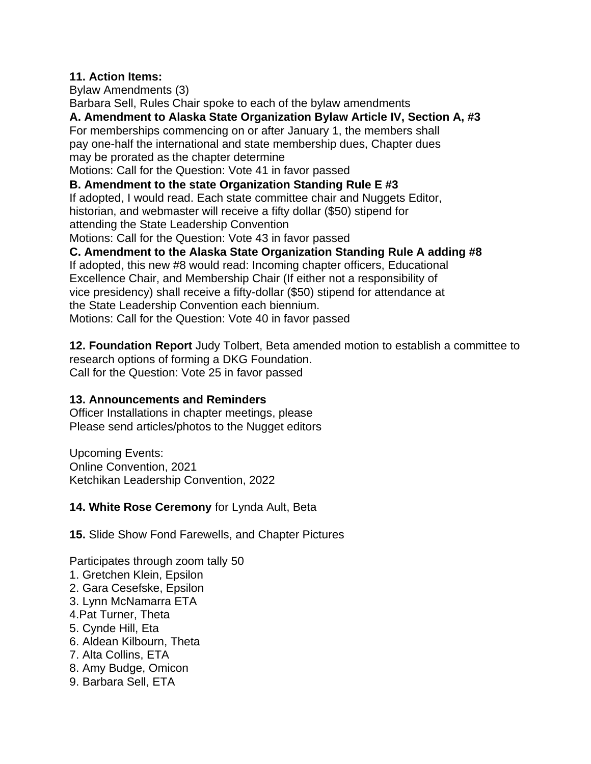## **11. Action Items:**

Bylaw Amendments (3) Barbara Sell, Rules Chair spoke to each of the bylaw amendments **A. Amendment to Alaska State Organization Bylaw Article IV, Section A, #3** For memberships commencing on or after January 1, the members shall pay one-half the international and state membership dues, Chapter dues may be prorated as the chapter determine Motions: Call for the Question: Vote 41 in favor passed

**B. Amendment to the state Organization Standing Rule E #3** If adopted, I would read. Each state committee chair and Nuggets Editor, historian, and webmaster will receive a fifty dollar (\$50) stipend for attending the State Leadership Convention Motions: Call for the Question: Vote 43 in favor passed

**C. Amendment to the Alaska State Organization Standing Rule A adding #8**

If adopted, this new #8 would read: Incoming chapter officers, Educational Excellence Chair, and Membership Chair (If either not a responsibility of vice presidency) shall receive a fifty-dollar (\$50) stipend for attendance at the State Leadership Convention each biennium. Motions: Call for the Question: Vote 40 in favor passed

**12. Foundation Report** Judy Tolbert, Beta amended motion to establish a committee to research options of forming a DKG Foundation. Call for the Question: Vote 25 in favor passed

# **13. Announcements and Reminders**

Officer Installations in chapter meetings, please Please send articles/photos to the Nugget editors

Upcoming Events: Online Convention, 2021 Ketchikan Leadership Convention, 2022

# **14. White Rose Ceremony** for Lynda Ault, Beta

**15.** Slide Show Fond Farewells, and Chapter Pictures

Participates through zoom tally 50

- 1. Gretchen Klein, Epsilon
- 2. Gara Cesefske, Epsilon
- 3. Lynn McNamarra ETA
- 4.Pat Turner, Theta
- 5. Cynde Hill, Eta
- 6. Aldean Kilbourn, Theta
- 7. Alta Collins, ETA
- 8. Amy Budge, Omicon
- 9. Barbara Sell, ETA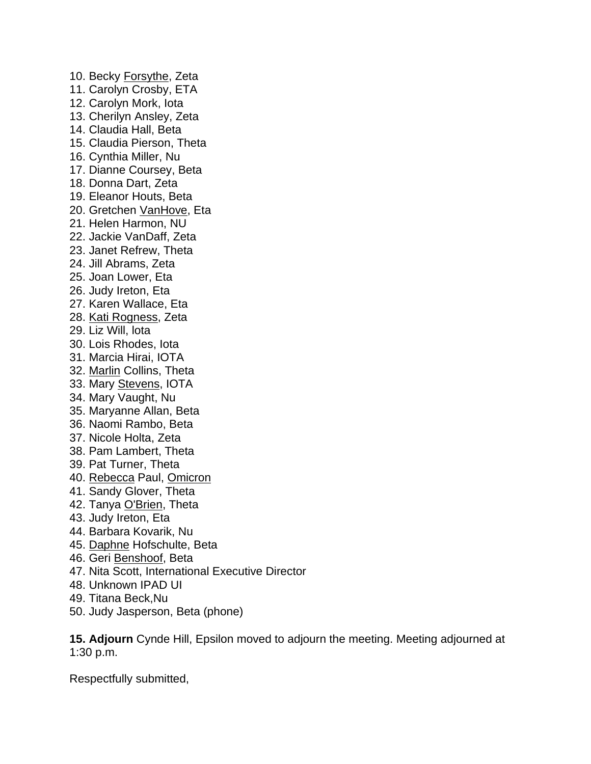10. Becky Forsythe, Zeta 11. Carolyn Crosby, ETA 12. Carolyn Mork, Iota 13. Cherilyn Ansley, Zeta 14. Claudia Hall, Beta 15. Claudia Pierson, Theta 16. Cynthia Miller, Nu 17. Dianne Coursey, Beta 18. Donna Dart, Zeta 19. Eleanor Houts, Beta 20. Gretchen VanHove, Eta 21. Helen Harmon, NU 22. Jackie VanDaff, Zeta 23. Janet Refrew, Theta 24. Jill Abrams, Zeta 25. Joan Lower, Eta 26. Judy Ireton, Eta 27. Karen Wallace, Eta 28. Kati Rogness, Zeta 29. Liz Will, lota 30. Lois Rhodes, Iota 31. Marcia Hirai, IOTA 32. Marlin Collins, Theta 33. Mary Stevens, IOTA 34. Mary Vaught, Nu 35. Maryanne Allan, Beta 36. Naomi Rambo, Beta 37. Nicole Holta, Zeta 38. Pam Lambert, Theta 39. Pat Turner, Theta 40. Rebecca Paul, Omicron 41. Sandy Glover, Theta 42. Tanya O'Brien, Theta 43. Judy Ireton, Eta 44. Barbara Kovarik, Nu 45. Daphne Hofschulte, Beta 46. Geri Benshoof, Beta 47. Nita Scott, International Executive Director 48. Unknown IPAD UI 49. Titana Beck,Nu

50. Judy Jasperson, Beta (phone)

**15. Adjourn** Cynde Hill, Epsilon moved to adjourn the meeting. Meeting adjourned at 1:30 p.m.

Respectfully submitted,